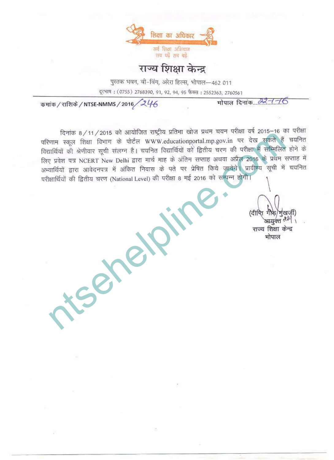

## राज्य शिक्षा केन्द्र

पुस्तक भवन, बी-विंग, अरेरा हिल्स, भोपाल—462 011 दूरभाष: (0755) 2768390, 91, 92, 94, 95 फैक्स: 2552363, 2760561

मोपाल दिनांक *22-1-1*6

कमांक / राशिके / NTSE-NMMS / 2016 / 246

ntsehelpline.com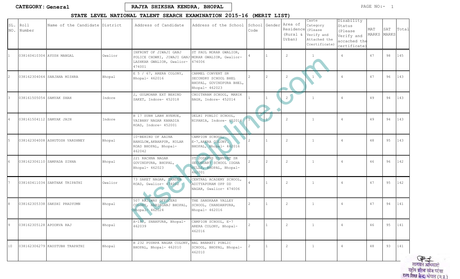## STATE LEVEL NATIONAL TALENT SEARCH EXAMINATION 2015-16 (MERIT LIST)

| SL.<br>NO.      | Roll<br>Number           | Name of the Candidate District |         | Address of Candidate                                                                                                | Address of the School                                                                   | School Gender<br>Code | Area of<br>Residence<br>(Rural &<br>Urban) | Caste<br>Category<br>(Please<br>Verify and<br>Attached the<br>Ccertificate) | Disability<br>Status<br>(Please<br>Verify and<br>accached the<br>certificate) | MAT<br>MARKS | SAT<br><b>MARKS</b> | Total |
|-----------------|--------------------------|--------------------------------|---------|---------------------------------------------------------------------------------------------------------------------|-----------------------------------------------------------------------------------------|-----------------------|--------------------------------------------|-----------------------------------------------------------------------------|-------------------------------------------------------------------------------|--------------|---------------------|-------|
|                 |                          | 038160410304 AYUSH MANGAL      | Gwalior | INFRONT OF JIWAJI GANJ<br>POLICE CHOWKI, JIWAJI GANJ MORAR GWALIOR, Gwalior-<br>LASHKAR GWALIOR, Gwalior-<br>474001 | ST PAUL MORAR GWALIOR,<br>474006                                                        |                       | 2                                          |                                                                             | $\overline{4}$                                                                | 47           | 98                  | 145   |
| 2               |                          | 038162304064 SANJANA MISHRA    | Bhopal  | E 5 / 67, ARERA COLONY,<br>Bhopal- 462016                                                                           | CARMEL CONVENT SR<br>SECONDRY SCHOOL BHEL<br>BHOPAL, GOVINDPURA BHEL,<br>Bhopal- 462023 |                       | 2                                          | $\mathbf{1}$                                                                | $\overline{4}$                                                                | 47           | 96                  | 143   |
|                 | 038161505054 SAMYAK SHAH |                                | Indore  | 2, GULMOHAR EXT BEHIND<br>SAKET, Indore- 452018                                                                     | CHOITHRAM SCHOOL, MANIK<br>BAGH, Indore- 452014                                         |                       | 2)                                         | $\overline{1}$                                                              | $\overline{4}$                                                                | 49           | 94                  | 143   |
|                 | 038161504112 SAMYAK JAIN |                                | Indore  | B 17 SUBH LABH AVENUE,<br>VAIBHAV NAGAR KANADIA<br>ROAD, Indore- 452001                                             | DELHI PUBLIC SCHOOL,<br>NIPANIA, Indore- 452016                                         |                       | 2                                          | $\mathbf{1}$                                                                | $\overline{4}$                                                                | 49           | 94                  | 143   |
| 5               |                          | 038162304008 ASHUTOSH VARSHNEY | Bhopal  | 10-BEHIND OF AAINA<br>BANGLOW, AKBARPUR, KOLAR<br>ROAD BHOPAL, Bhopal-<br>462042                                    | CAMPION SCHOOL,<br>E-7, ARERA COLONY.<br>BHOPAL, Bhopal- 462016                         |                       | 2                                          | $\mathbf{1}$                                                                | $\overline{4}$                                                                | 48           | 95                  | 143   |
|                 |                          | 038162306110 SAMPADA SINHA     | Bhopal  | 221 RACHNA NAGAR<br>GOVINDPURA, BHOPAL,<br>Bhopal- 462023                                                           | ST JOSEPHS CONVENT SR<br>SECONDARY SCHOOL IDGHA<br>HILLS, BHOPAL, Bhopal-<br>462001     |                       | 2                                          | 1                                                                           | $\overline{4}$                                                                | 46           | 96                  | 142   |
|                 |                          | 038160411034 SARTHAK TRIPATHI  | Gwalior | 73 SAKET NAGAR, TANSEN<br>ROAD, Gwalior- 474002                                                                     | CENTRAL ACADEMY SCHOOL,<br>ADITYAPURAM OPP DD<br>NAGAR, Gwalior- 474006                 |                       | 2                                          | $\mathbf{1}$                                                                | $\overline{4}$                                                                | 47           | 95                  | 142   |
| R.              |                          | 038162305338 SAKSHI PRADYUMN   | Bhopal  | 507 RAILWAY OFFICERS<br>COLONY, HABIBGANJ BHOPAL,<br>Bhopal- 462024                                                 | THE SANSKAAR VALLEY<br>SCHOOL, CHANDANPURA,<br>Bhopal- 462016                           | 2                     | 2                                          | $\mathbf{1}$                                                                | $\overline{4}$                                                                | 47           | 94                  | 141   |
| 19              | 038162305128 APOORVA RAJ |                                | Bhopal  | A-180, SHAHPURA, Bhopal-<br>462039                                                                                  | CAMPION SCHOOL, E-7<br>ARERA COLONY, Bhopal-<br>462016                                  | 2                     | $\overline{c}$                             | $\mathbf{1}$                                                                | 4                                                                             | 46           | 95                  | 141   |
| 10 <sub>1</sub> |                          | 038162306279 KAUSTUBH TRAPATHI | Bhopal  | B 232 PUSHPA NAGAR COLONY, BAL BHARATI PUBLIC<br>BHOPAL, Bhopal- 462010                                             | SCHOOL, BHOPAL, Bhopal-<br>462010                                                       |                       | 2                                          | $\mathbf{1}$                                                                | $\overline{4}$                                                                | 48           | 93                  | 141   |

्यान्<u>मिन्न</u><br>लायसन अधिकारी राष्ट्रीय प्रतिभा खोज परोक्षा<br>राज्य शिक्षा केन्द्र, भोपाल (म.प्र.)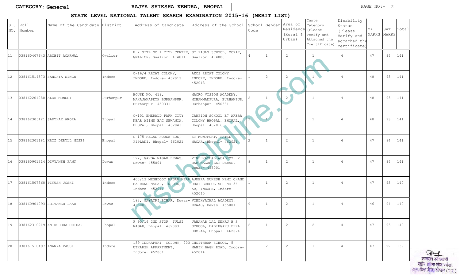## STATE LEVEL NATIONAL TALENT SEARCH EXAMINATION 2015-16 (MERIT LIST)

| SL.<br>NO. | Roll<br>Number           | Name of the Candidate District |           | Address of Candidate                                                                            | Address of the School                                                     | Code | School Gender | Area of<br>Residence (Please<br>(Rural &<br>Urban) | Caste<br>Category<br>Verify and<br>Attached the<br>Ccertificate) | Disability<br>Status<br>(Please<br>Verify and<br>accached the<br>certificate) | MAT<br>MARKS | SAT<br><b>MARKS</b> | Total |
|------------|--------------------------|--------------------------------|-----------|-------------------------------------------------------------------------------------------------|---------------------------------------------------------------------------|------|---------------|----------------------------------------------------|------------------------------------------------------------------|-------------------------------------------------------------------------------|--------------|---------------------|-------|
| 11         |                          | 038160407643 ARCHIT AGARWAL    | Gwalior   | E 2 SITE NO 1 CITY CENTRE, ST PAULS SCHOOL, MORAR,<br>GWALIOR, Gwalior- 474011                  | Gwalior- 474006                                                           |      |               | 2                                                  |                                                                  | $\overline{4}$                                                                | 47           | 94                  | 141   |
| 12         |                          | 038161514573 SANDHYA SINGH     | Indore    | C-16/4 RRCAT COLONY,<br>INDORE, Indore- 452013                                                  | AECS RRCAT COLONY<br>INDORE, INDORE, Indore-<br>452013                    |      | 2             | 2                                                  |                                                                  | $\overline{4}$                                                                | 48           | 93                  | 141   |
| 13         | 038162201280 ALOK MUNSHI |                                | Burhanpur | HOUSE NO. 419,<br>MAHAJANAPETH BURHANPUR,<br>Burhanpur- 450331                                  | MACRO VISION ACADEMY,<br>MOHAMMADPURA, BURHANPUR,<br>Burhanpur- 450331    |      |               | $\overline{2}$                                     | $\mathbf{1}$                                                     | $\overline{4}$                                                                | 48           | 93                  | 141   |
| 14         |                          | 038162305421 SARTHAK ARORA     | Bhopal    | C-101 EMERALD PARK CITY<br>NEAR AIIMS BAG SEWANIA,<br>BHOPAL, Bhopal- 462043                    | CAMPION SCHOOL E7 ARERA<br>COLONY BHOPAL, BHOPAL,<br>Bhopal- 462016       |      |               | 2                                                  | $\mathbf{1}$                                                     | $\overline{4}$                                                                | 48           | 93                  | 141   |
| 15         |                          | 038162301181 KRIZ DERYLL MOSES | Bhopal    | G 175 REGAL HOUSE SOS,<br>PIPLANI, Bhopal- 462021                                               | ST MONTFORT, PATEL<br>NAGAR, Bhopal- 462021                               |      |               | 2                                                  | $\mathbf{1}$                                                     | $\overline{4}$                                                                | 47           | 94                  | 141   |
| 16         |                          | 038160901314 DIVYANSH PANT     | Dewas     | 122, GANGA NAGAR DEWAS,<br>Dewas- 455001                                                        | VINDHYACHAL ACADEMY, 2<br>RAM NAGAR EXT DEWAS,<br>Dewas- 455001           |      |               | 2                                                  | $\mathbf{1}$                                                     | $\overline{4}$                                                                | 47           | 94                  | 141   |
| 17         |                          | 038161507368 PIYUSH JOSHI      | Indore    | 400/13 MEGHDOOT NAGAR NEAR AJMERA MUKESH NEMI CHAND<br>BAJRANG NAGAR, INDORE,<br>Indore- 452011 | BHAI SCHOOL SCH NO 54<br>AB, INDORE, Indore-<br>452010                    |      |               | 2                                                  | $\mathbf{1}$                                                     | $\overline{4}$                                                                | 47           | 93                  | 140   |
| 18         |                          | 038160901293 SHIVANSH LAAD     | Dewas     | 182, GAYATRI BIHAR, Dewas-<br>455001                                                            | VINDHYACHAL ACADEMY,<br>DEWAS, Dewas- 455001                              | 9    |               | $\overline{c}$                                     | $\mathbf{1}$                                                     | $\overline{4}$                                                                | 46           | 94                  | 140   |
| 19         |                          | 038162310219 ANIRUDDHA CHIDAR  | Bhopal    | F 90/16 2ND STOP, TULSI<br>NAGAR, Bhopal- 462003                                                | JAWAHAR LAL NEHRU H S<br>SCHOOL, HABIBGANJ BHEL<br>BHOPAL, Bhopal- 462024 |      |               | $\overline{c}$                                     | 2                                                                | 4                                                                             | 47           | 93                  | 140   |
| 20         |                          | 038161510497 ANANYA PASSI      | Indore    | 139 INDRAPURI COLONY, 203 CHOITHRAM SCHOOL, 5<br>UTKARSH APPARTMENT,<br>Indore- 452001          | MANIK BAGH ROAD, Indore-<br>452014                                        |      |               | 2                                                  | $\mathbf{1}$                                                     | $\overline{4}$                                                                | 47           | 92                  | 139   |